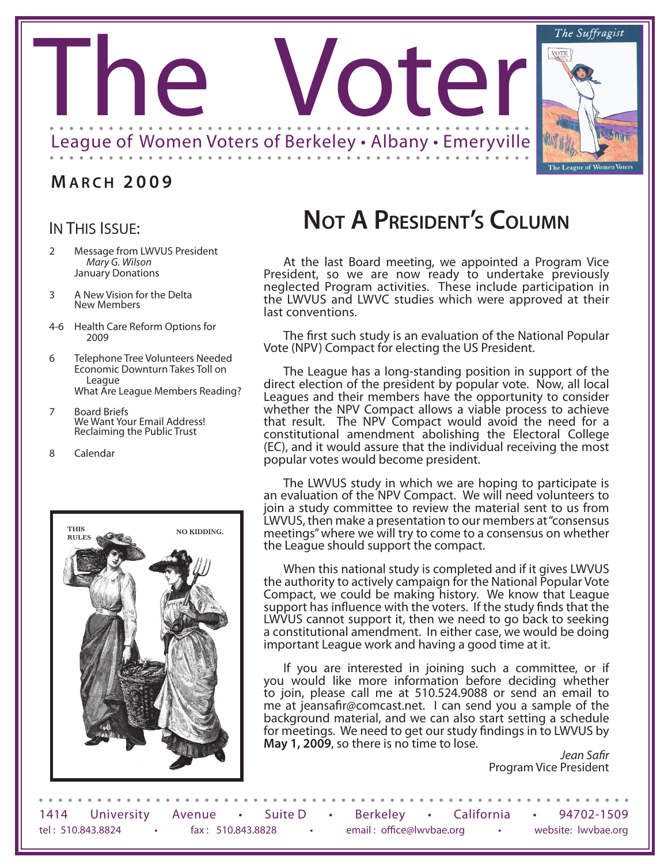

## **M A R C H 2 0 0 9**

## IN THIS ISSUE:

- 2 Message from LWVUS President *Mary G. Wilson* January Donations
- 3 A New Vision for the Delta New Members
- 4-6 Health Care Reform Options for 2009
- 6 Telephone Tree Volunteers Needed Economic Downturn Takes Toll on League What Are League Members Reading?
- 7 Board Briefs<br>We Want Your Email Address!<br>Reclaiming the Public Trust

8 Calendar



# **Not A President's Column**

At the last Board meeting, we appointed a Program Vice President, so we are now ready to undertake previously neglected Program activities. These include participation in the LWVUS and LWVC studies which were approved at their last conventions.

The first such study is an evaluation of the National Popular Vote (NPV) Compact for electing the US President.

The League has a long-standing position in support of the direct election of the president by popular vote. Now, all local Leagues and their members have the opportunity to consider whether the NPV Compact allows a viable process to achieve that result. The NPV Compact would avoid the need for a constitutional amendment abolishing the Electoral College (EC), and it would assure that the individual receiving the most popular votes would become president.

The LWVUS study in which we are hoping to participate is an evaluation of the NPV Compact. We will need volunteers to join a study committee to review the material sent to us from LWVUS, then make a presentation to our members at "consensus meetings" where we will try to come to a consensus on whether the League should support the compact.

When this national study is completed and if it gives LWVUS the authority to actively campaign for the National Popular Vote Compact, we could be making history. We know that League support has influence with the voters. If the study finds that the LWVUS cannot support it, then we need to go back to seeking a constitutional amendment. In either case, we would be doing important League work and having a good time at it.

If you are interested in joining such a committee, or if you would like more information before deciding whether to join, please call me at 510.524.9088 or send an email to me at jeansafir@comcast.net. I can send you a sample of the background material, and we can also start setting a schedule for meetings. We need to get our study findings in to LWVUS by **May 1, 2009**, so there is no time to lose.

> *Jean Safir* Program Vice President

1414 University Avenue • Suite D • Berkeley • California • 94702-1509 tel : 510.843.8824 • fax : 510.843.8828 • email : office@lwvbae.org • website: lwvbae.org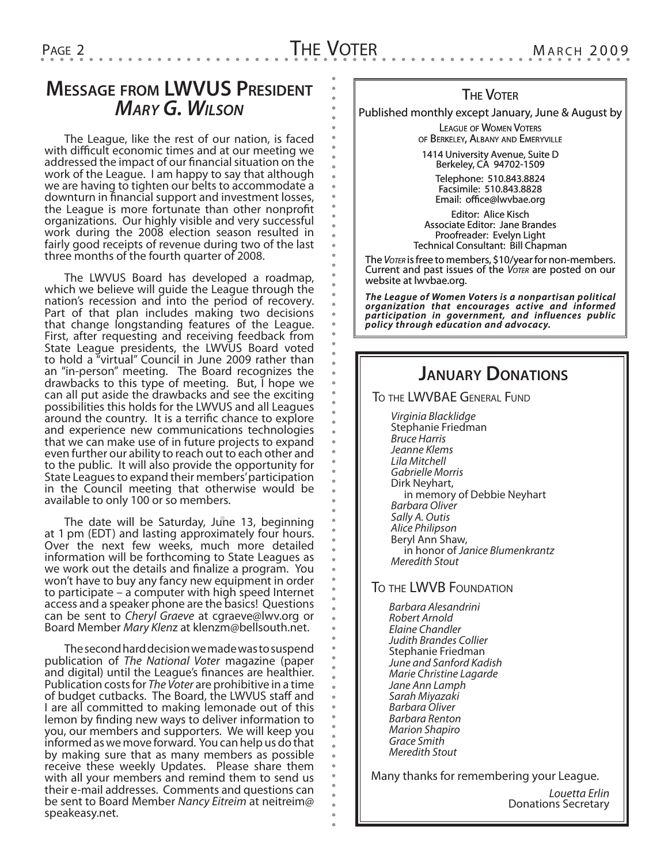# **Message from LWVUS President** *Mary G. Wilson*

The League, like the rest of our nation, is faced with difficult economic times and at our meeting we addressed the impact of our financial situation on the work of the League. I am happy to say that although we are having to tighten our belts to accommodate a downturn in financial support and investment losses, the League is more fortunate than other nonprofit organizations. Our highly visible and very successful work during the 2008 election season resulted in fairly good receipts of revenue during two of the last three months of the fourth quarter of 2008.

The LWVUS Board has developed a roadmap, which we believe will guide the League through the nation's recession and into the period of recovery. Part of that plan includes making two decisions that change longstanding features of the League. First, after requesting and receiving feedback from State League presidents, the LWVUS Board voted to hold a "virtual" Council in June 2009 rather than an "in-person" meeting. The Board recognizes the drawbacks to this type of meeting. But, I hope we can all put aside the drawbacks and see the exciting possibilities this holds for the LWVUS and all Leagues around the country. It is a terrific chance to explore and experience new communications technologies that we can make use of in future projects to expand even further our ability to reach out to each other and to the public. It will also provide the opportunity for State Leagues to expand their members' participation in the Council meeting that otherwise would be available to only 100 or so members.

The date will be Saturday, June 13, beginning at 1 pm (EDT) and lasting approximately four hours. Over the next few weeks, much more detailed information will be forthcoming to State Leagues as we work out the details and finalize a program. You won't have to buy any fancy new equipment in order to participate – a computer with high speed Internet access and a speaker phone are the basics! Questions can be sent to *Cheryl Graeve* at cgraeve@lwv.org or Board Member *Mary Klen*z at klenzm@bellsouth.net.

The second hard decision we made was to suspend publication of *The National Voter* magazine (paper and digital) until the League's finances are healthier. Publication costs for *The Voter* are prohibitive in a time of budget cutbacks. The Board, the LWVUS staff and I are all committed to making lemonade out of this lemon by finding new ways to deliver information to you, our members and supporters. We will keep you informed as we move forward. You can help us do that by making sure that as many members as possible receive these weekly Updates. Please share them with all your members and remind them to send us their e-mail addresses. Comments and questions can be sent to Board Member *Nancy Eitreim* at neitreim@ speakeasy.net.

#### **THE VOTER**

Published monthly except January, June & August by

LEAGUE OF WOMEN VOTERS of Berkeley, Albany and Emeryville

1414 University Avenue, Suite D Berkeley, CA 94702-1509

Telephone: 510.843.8824 Facsimile: 510.843.8828 Email: office@lwvbae.org

Editor: Alice Kisch Associate Editor: Jane Brandes Proofreader: Evelyn Light Technical Consultant: Bill Chapman

The *Voter* is free to members, \$10/year for non-members. Current and past issues of the *Voter* are posted on our website at lwvbae.org.

*The League of Women Voters is a nonpartisan political organization that encourages active and informed participation in government, and influences public policy through education and advocacy.*

## **January Donations**

To the LWVBAE General Fund

*Virginia Blacklidge* Stephanie Friedman *Bruce Harris Jeanne Klems Lila Mitchell Gabrielle Morris* Dirk Neyhart, in memory of Debbie Neyhart *Barbara Oliver Sally A. Outis Alice Philipson* Beryl Ann Shaw, in honor of *Janice Blumenkrantz Meredith Stout*

#### To the LWVB Foundation

*Barbara Alesandrini Robert Arnold Elaine Chandler Judith Brandes Collier* Stephanie Friedman *June and Sanford Kadish Marie Christine Lagarde Jane Ann Lamph Sarah Miyazaki Barbara Oliver Barbara Renton Marion Shapiro Grace Smith Meredith Stout*

Many thanks for remembering your League.

*Louetta Erlin* Donations Secretary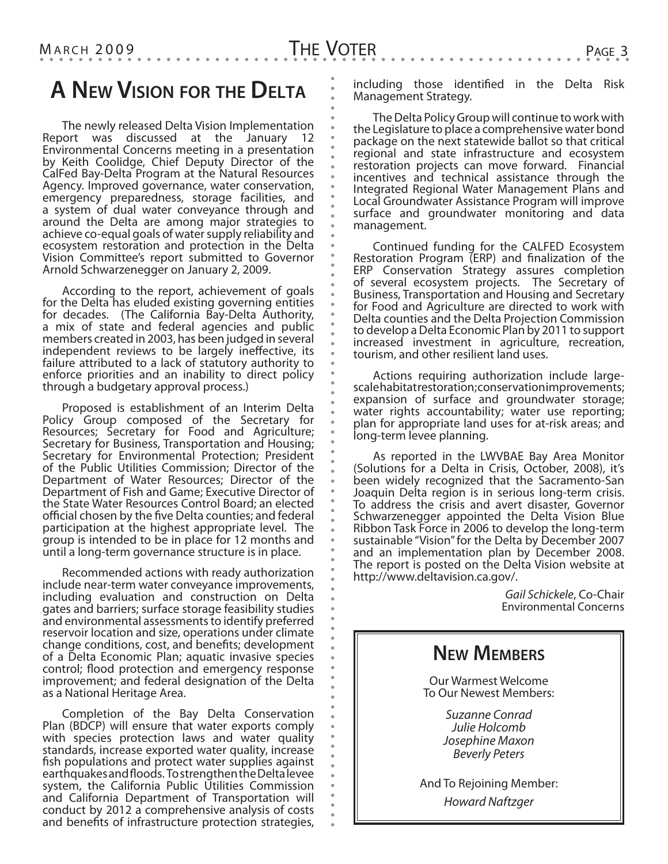The newly released Delta Vision Implementation Report was discussed at the January 12 Environmental Concerns meeting in a presentation by Keith Coolidge, Chief Deputy Director of the CalFed Bay-Delta Program at the Natural Resources Agency. Improved governance, water conservation, emergency preparedness, storage facilities, and a system of dual water conveyance through and around the Delta are among major strategies to achieve co-equal goals of water supply reliability and ecosystem restoration and protection in the Delta Vision Committee's report submitted to Governor Arnold Schwarzenegger on January 2, 2009.

According to the report, achievement of goals for the Delta has eluded existing governing entities for decades. (The California Bay-Delta Authority, a mix of state and federal agencies and public members created in 2003, has been judged in several independent reviews to be largely ineffective, its failure attributed to a lack of statutory authority to enforce priorities and an inability to direct policy through a budgetary approval process.)

Proposed is establishment of an Interim Delta Policy Group composed of the Secretary for Resources; Secretary for Food and Agriculture; Secretary for Business, Transportation and Housing; Secretary for Environmental Protection; President of the Public Utilities Commission; Director of the Department of Water Resources; Director of the Department of Fish and Game; Executive Director of the State Water Resources Control Board; an elected official chosen by the five Delta counties; and federal participation at the highest appropriate level. The group is intended to be in place for 12 months and until a long-term governance structure is in place.

Recommended actions with ready authorization include near-term water conveyance improvements, including evaluation and construction on Delta gates and barriers; surface storage feasibility studies and environmental assessments to identify preferred reservoir location and size, operations under climate change conditions, cost, and benefits; development of a Delta Economic Plan; aquatic invasive species control; flood protection and emergency response improvement; and federal designation of the Delta as a National Heritage Area.

Completion of the Bay Delta Conservation Plan (BDCP) will ensure that water exports comply with species protection laws and water quality standards, increase exported water quality, increase fish populations and protect water supplies against earthquakes and floods. To strengthen the Delta levee system, the California Public Utilities Commission and California Department of Transportation will conduct by 2012 a comprehensive analysis of costs and benefits of infrastructure protection strategies,

including those identified in the Delta Risk Management Strategy.

The Delta Policy Group will continue to work with the Legislature to place a comprehensive water bond package on the next statewide ballot so that critical regional and state infrastructure and ecosystem restoration projects can move forward. Financial incentives and technical assistance through the Integrated Regional Water Management Plans and Local Groundwater Assistance Program will improve surface and groundwater monitoring and data management.

Continued funding for the CALFED Ecosystem Restoration Program  $\overline{(ERP)}$  and finalization of the ERP Conservation Strategy assures completion of several ecosystem projects. The Secretary of Business, Transportation and Housing and Secretary for Food and Agriculture are directed to work with Delta counties and the Delta Projection Commission to develop a Delta Economic Plan by 2011 to support increased investment in agriculture, recreation, tourism, and other resilient land uses.

Actions requiring authorization include largescale habitat restoration; conservation improvements; expansion of surface and groundwater storage; water rights accountability; water use reporting; plan for appropriate land uses for at-risk areas; and long-term levee planning.

As reported in the LWVBAE Bay Area Monitor (Solutions for a Delta in Crisis, October, 2008), it's been widely recognized that the Sacramento-San Joaquin Delta region is in serious long-term crisis. To address the crisis and avert disaster, Governor Schwarzenegger appointed the Delta Vision Blue Ribbon Task Force in 2006 to develop the long-term sustainable "Vision" for the Delta by December 2007 and an implementation plan by December 2008. The report is posted on the Delta Vision website at http://www.deltavision.ca.gov/.

> *Gail Schickele*, Co-Chair Environmental Concerns



And To Rejoining Member: *Howard Naftzger*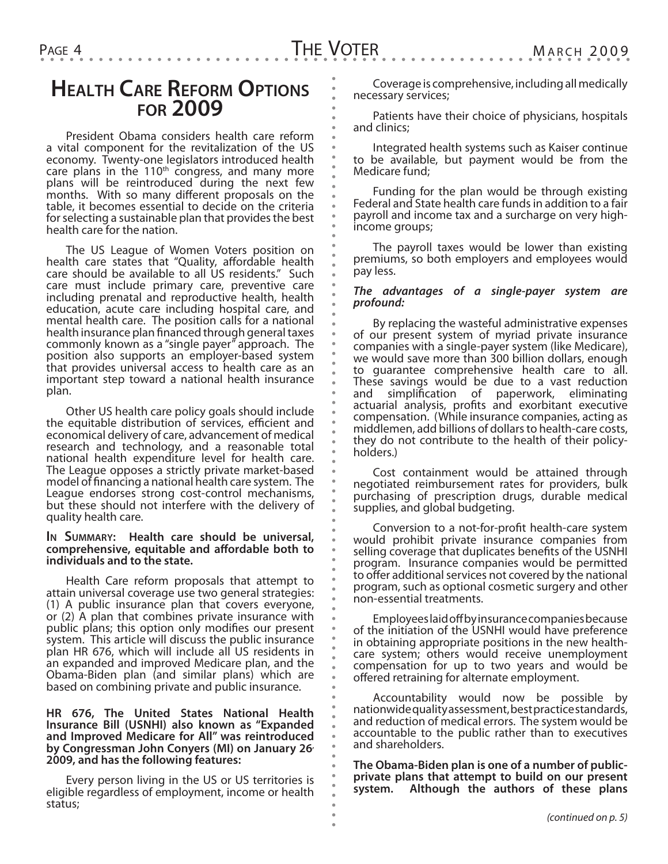## **Health Care Reform Options for 2009**

President Obama considers health care reform a vital component for the revitalization of the US economy. Twenty-one legislators introduced health care plans in the 110<sup>th</sup> congress, and many more plans will be reintroduced during the next few months. With so many different proposals on the table, it becomes essential to decide on the criteria for selecting a sustainable plan that provides the best health care for the nation.

The US League of Women Voters position on health care states that "Quality, affordable health care should be available to all US residents." Such care must include primary care, preventive care including prenatal and reproductive health, health education, acute care including hospital care, and mental health care. The position calls for a national health insurance plan financed through general taxes commonly known as a "single payer" approach. The position also supports an employer-based system that provides universal access to health care as an important step toward a national health insurance plan.

Other US health care policy goals should include the equitable distribution of services, efficient and economical delivery of care, advancement of medical research and technology, and a reasonable total national health expenditure level for health care. The League opposes a strictly private market-based model of financing a national health care system. The League endorses strong cost-control mechanisms, but these should not interfere with the delivery of quality health care.

#### **In Summary: Health care should be universal, comprehensive, equitable and affordable both to individuals and to the state.**

Health Care reform proposals that attempt to attain universal coverage use two general strategies: (1) A public insurance plan that covers everyone, or (2) A plan that combines private insurance with public plans; this option only modifies our present system. This article will discuss the public insurance plan HR 676, which will include all US residents in an expanded and improved Medicare plan, and the Obama-Biden plan (and similar plans) which are based on combining private and public insurance.

#### **HR 676, The United States National Health Insurance Bill (USNHI) also known as "Expanded and Improved Medicare for All" was reintroduced by Congressman John Conyers (MI) on January 26, 2009, and has the following features:**

Every person living in the US or US territories is eligible regardless of employment, income or health status;

Coverage is comprehensive, including all medically necessary services;

Patients have their choice of physicians, hospitals and clinics;

Integrated health systems such as Kaiser continue to be available, but payment would be from the Medicare fund;

Funding for the plan would be through existing Federal and State health care funds in addition to a fair payroll and income tax and a surcharge on very highincome groups;

The payroll taxes would be lower than existing premiums, so both employers and employees would pay less.

#### *The advantages of a single-payer system are profound:*

By replacing the wasteful administrative expenses of our present system of myriad private insurance companies with a single-payer system (like Medicare), we would save more than 300 billion dollars, enough to guarantee comprehensive health care to all. These savings would be due to a vast reduction and simplification of paperwork, eliminating actuarial analysis, profits and exorbitant executive compensation. (While insurance companies, acting as middlemen, add billions of dollars to health-care costs, they do not contribute to the health of their policyholders.)

Cost containment would be attained through negotiated reimbursement rates for providers, bulk purchasing of prescription drugs, durable medical supplies, and global budgeting.

Conversion to a not-for-profit health-care system would prohibit private insurance companies from selling coverage that duplicates benefits of the USNHI program. Insurance companies would be permitted to offer additional services not covered by the national program, such as optional cosmetic surgery and other non-essential treatments.

Employees laid off by insurance companies because of the initiation of the USNHI would have preference in obtaining appropriate positions in the new healthcare system; others would receive unemployment compensation for up to two years and would be offered retraining for alternate employment.

Accountability would now be possible by nationwide quality assessment, best practice standards, and reduction of medical errors. The system would be accountable to the public rather than to executives and shareholders.

**The Obama-Biden plan is one of a number of publicprivate plans that attempt to build on our present system. Although the authors of these plans**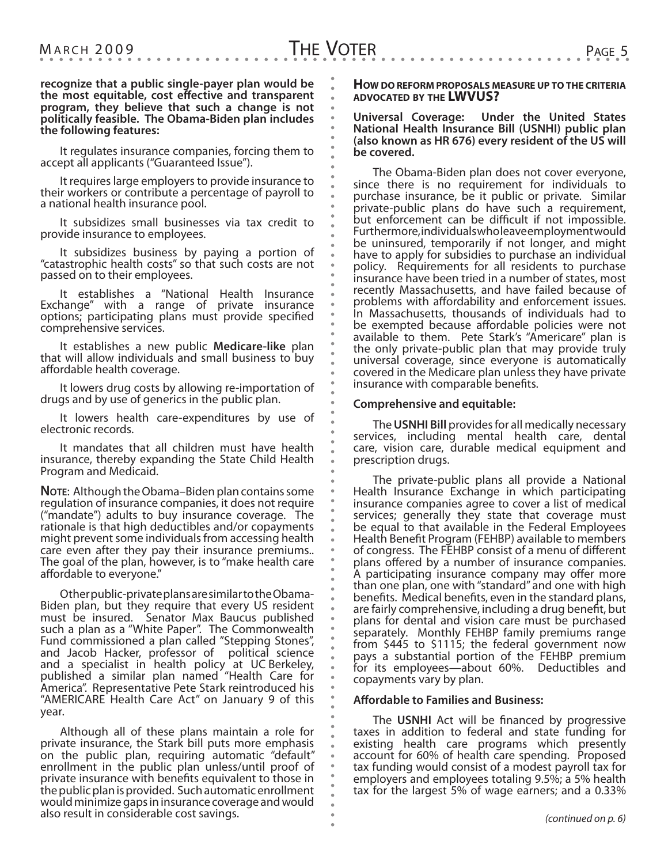**recognize that a public single-payer plan would be the most equitable, cost effective and transparent program, they believe that such a change is not politically feasible. The Obama-Biden plan includes the following features:**

It regulates insurance companies, forcing them to accept all applicants ("Guaranteed Issue").

It requires large employers to provide insurance to their workers or contribute a percentage of payroll to a national health insurance pool.

It subsidizes small businesses via tax credit to provide insurance to employees.

It subsidizes business by paying a portion of "catastrophic health costs" so that such costs are not passed on to their employees.

It establishes a "National Health Insurance Exchange" with a range of private insurance options; participating plans must provide specified comprehensive services.

It establishes a new public **Medicare-like** plan that will allow individuals and small business to buy affordable health coverage.

It lowers drug costs by allowing re-importation of drugs and by use of generics in the public plan.

It lowers health care-expenditures by use of electronic records.

It mandates that all children must have health insurance, thereby expanding the State Child Health Program and Medicaid.

**NOTE:** Although the Obama–Biden plan contains some regulation of insurance companies, it does not require ("mandate") adults to buy insurance coverage. The rationale is that high deductibles and/or copayments might prevent some individuals from accessing health care even after they pay their insurance premiums.. The goal of the plan, however, is to "make health care affordable to everyone."

Other public-private plans are similar to the Obama-Biden plan, but they require that every US resident must be insured. Senator Max Baucus published such a plan as a "White Paper". The Commonwealth Fund commissioned a plan called "Stepping Stones", and Jacob Hacker, professor of political science and a specialist in health policy at UC Berkeley, published a similar plan named "Health Care for America". Representative Pete Stark reintroduced his "AMERICARE Health Care Act" on January 9 of this year.

Although all of these plans maintain a role for private insurance, the Stark bill puts more emphasis on the public plan, requiring automatic "default" enrollment in the public plan unless/until proof of private insurance with benefits equivalent to those in the public plan is provided. Such automatic enrollment would minimize gaps in insurance coverage and would also result in considerable cost savings.

**How do reform proposals measure up to the criteria advocated by the LWVUS?**

#### **Universal Coverage: Under the United States National Health Insurance Bill (USNHI) public plan (also known as HR 676) every resident of the US will be covered.**

The Obama-Biden plan does not cover everyone, since there is no requirement for individuals to purchase insurance, be it public or private. Similar private-public plans do have such a requirement, but enforcement can be difficult if not impossible. Furthermore, individuals who leave employment would be uninsured, temporarily if not longer, and might have to apply for subsidies to purchase an individual policy. Requirements for all residents to purchase insurance have been tried in a number of states, most recently Massachusetts, and have failed because of problems with affordability and enforcement issues. In Massachusetts, thousands of individuals had to be exempted because affordable policies were not available to them. Pete Stark's "Americare" plan is the only private-public plan that may provide truly universal coverage, since everyone is automatically covered in the Medicare plan unless they have private insurance with comparable benefits.

#### **Comprehensive and equitable:**

The**USNHI Bill** provides for all medically necessary services, including mental health care, dental care, vision care, durable medical equipment and prescription drugs.

The private-public plans all provide a National Health Insurance Exchange in which participating insurance companies agree to cover a list of medical services; generally they state that coverage must be equal to that available in the Federal Employees Health Benefit Program (FEHBP) available to members of congress. The FEHBP consist of a menu of different plans offered by a number of insurance companies. A participating insurance company may offer more than one plan, one with "standard" and one with high benefits. Medical benefits, even in the standard plans, are fairly comprehensive, including a drug benefit, but plans for dental and vision care must be purchased separately. Monthly FEHBP family premiums range from \$445 to \$1115; the federal government now pays a substantial portion of the FEHBP premium for its employees—about 60%. Deductibles and copayments vary by plan.

#### **Affordable to Families and Business:**

The **USNHI** Act will be financed by progressive taxes in addition to federal and state funding for existing health care programs which presently account for 60% of health care spending. Proposed tax funding would consist of a modest payroll tax for employers and employees totaling 9.5%; a 5% health tax for the largest 5% of wage earners; and a 0.33%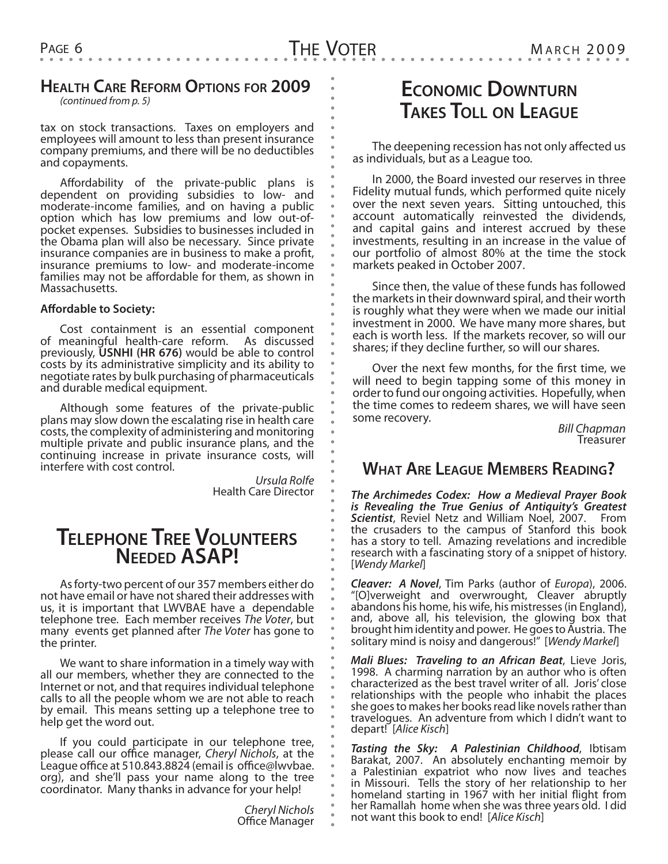## **Health Care Reform Options for 2009**

*(continued from p. 5)*

tax on stock transactions. Taxes on employers and employees will amount to less than present insurance company premiums, and there will be no deductibles and copayments.

Affordability of the private-public plans is dependent on providing subsidies to low- and moderate-income families, and on having a public option which has low premiums and low out-ofpocket expenses. Subsidies to businesses included in the Obama plan will also be necessary. Since private insurance companies are in business to make a profit, insurance premiums to low- and moderate-income families may not be affordable for them, as shown in Massachusetts.

#### **Affordable to Society:**

Cost containment is an essential component of meaningful health-care reform. As discussed previously, **USNHI (HR 676)** would be able to control costs by its administrative simplicity and its ability to negotiate rates by bulk purchasing of pharmaceuticals and durable medical equipment.

Although some features of the private-public plans may slow down the escalating rise in health care costs, the complexity of administering and monitoring multiple private and public insurance plans, and the continuing increase in private insurance costs, will interfere with cost control.

> *Ursula Rolfe* Health Care Director

## **Telephone Tree Volunteers Needed ASAP!**

As forty-two percent of our 357 members either do not have email or have not shared their addresses with us, it is important that LWVBAE have a dependable telephone tree. Each member receives *The Voter*, but many events get planned after *The Voter* has gone to the printer.

We want to share information in a timely way with all our members, whether they are connected to the Internet or not, and that requires individual telephone calls to all the people whom we are not able to reach by email. This means setting up a telephone tree to help get the word out.

If you could participate in our telephone tree, please call our office manager, *Cheryl Nichols*, at the League office at 510.843.8824 (email is office@lwvbae. org), and she'll pass your name along to the tree coordinator. Many thanks in advance for your help!

> *Cheryl Nichols* Office Manager

# **Economic Downturn Takes Toll on League**

The deepening recession has not only affected us as individuals, but as a League too.

In 2000, the Board invested our reserves in three Fidelity mutual funds, which performed quite nicely over the next seven years. Sitting untouched, this account automatically reinvested the dividends, and capital gains and interest accrued by these investments, resulting in an increase in the value of our portfolio of almost 80% at the time the stock markets peaked in October 2007.

Since then, the value of these funds has followed the markets in their downward spiral, and their worth is roughly what they were when we made our initial investment in 2000. We have many more shares, but each is worth less. If the markets recover, so will our shares; if they decline further, so will our shares.

Over the next few months, for the first time, we will need to begin tapping some of this money in order to fund our ongoing activities. Hopefully, when the time comes to redeem shares, we will have seen some recovery. *Bill Chapman* Treasurer

## **What Are League Members Reading?**

*The Archimedes Codex: How a Medieval Prayer Book is Revealing the True Genius of Antiquity's Greatest Scientist*, Reviel Netz and William Noel, 2007. From the crusaders to the campus of Stanford this book has a story to tell. Amazing revelations and incredible research with a fascinating story of a snippet of history. [*Wendy Markel*]

*Cleaver: A Novel*, Tim Parks (author of *Europa*), 2006. "[O]verweight and overwrought, Cleaver abruptly abandons his home, his wife, his mistresses (in England), and, above all, his television, the glowing box that brought him identity and power. He goes to Austria. The solitary mind is noisy and dangerous!" [*Wendy Markel*]

*Mali Blues: Traveling to an African Beat*, Lieve Joris, 1998. A charming narration by an author who is often characterized as the best travel writer of all. Joris' close relationships with the people who inhabit the places she goes to makes her books read like novels rather than travelogues. An adventure from which I didn't want to depart! [*Alice Kisch*]

*Tasting the Sky: A Palestinian Childhood*, Ibtisam Barakat, 2007. An absolutely enchanting memoir by a Palestinian expatriot who now lives and teaches in Missouri. Tells the story of her relationship to her homeland starting in 1967 with her initial flight from her Ramallah home when she was three years old. I did not want this book to end! [*Alice Kisch*]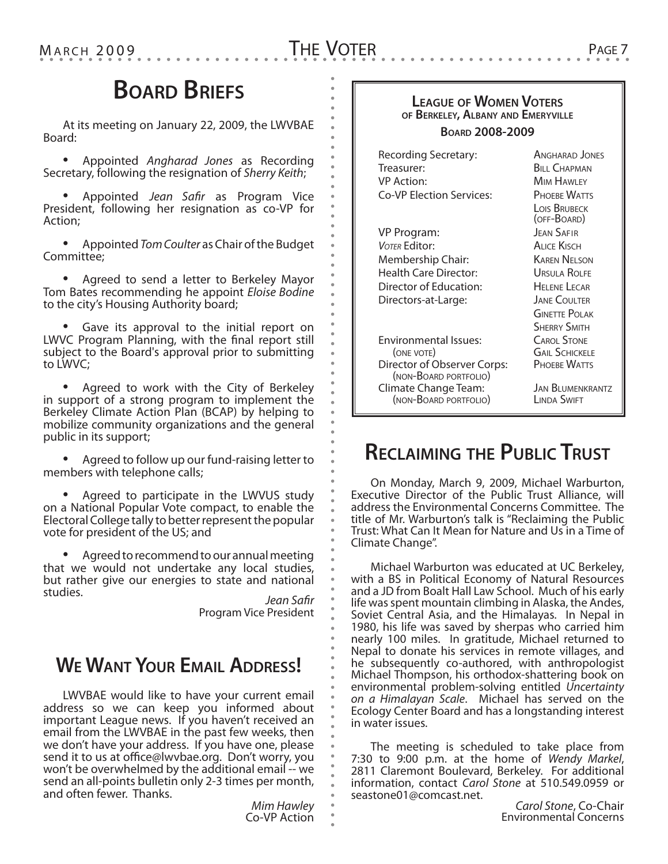# THE VOTER PAGE 7

# **Board Briefs**

At its meeting on January 22, 2009, the LWVBAE Board:

• Appointed *Angharad Jones* as Recording Secretary, following the resignation of *Sherry Keith*;

• Appointed *Jean Safir* as Program Vice President, following her resignation as co-VP for Action;

• Appointed *Tom Coulter* as Chair of the Budget Committee;

• Agreed to send a letter to Berkeley Mayor Tom Bates recommending he appoint *Eloise Bodine* to the city's Housing Authority board;

• Gave its approval to the initial report on LWVC Program Planning, with the final report still subject to the Board's approval prior to submitting to LWVC;

• Agreed to work with the City of Berkeley in support of a strong program to implement the Berkeley Climate Action Plan (BCAP) by helping to mobilize community organizations and the general public in its support;

• Agreed to follow up our fund-raising letter to members with telephone calls;

• Agreed to participate in the LWVUS study on a National Popular Vote compact, to enable the Electoral College tally to better represent the popular vote for president of the US; and

• Agreed to recommend to our annual meeting that we would not undertake any local studies, but rather give our energies to state and national studies. *Jean Safir*

Program Vice President

# **We Want Your Email Address!**

LWVBAE would like to have your current email address so we can keep you informed about important League news. If you haven't received an email from the LWVBAE in the past few weeks, then we don't have your address. If you have one, please send it to us at office@lwvbae.org. Don't worry, you won't be overwhelmed by the additional email -- we send an all-points bulletin only 2-3 times per month, and often fewer. Thanks.

*Mim Hawley* Co-VP Action

### **League of Women Voters of Berkeley, Albany and Emeryville**

#### **Board 2008-2009**

| Recording Secretary:                                 | ANGHARAD JONES                         |  |
|------------------------------------------------------|----------------------------------------|--|
| Treasurer:                                           | <b>BILL CHAPMAN</b>                    |  |
| VP Action:                                           | <b>MIM HAWLEY</b>                      |  |
| Co-VP Election Services:                             | PHOFRE WATTS                           |  |
|                                                      | <b>LOIS BRUBECK</b><br>(OFF-BOARD)     |  |
| VP Program:                                          | <b>JEAN SAFIR</b>                      |  |
| VOTER Editor:                                        | ALICE KISCH                            |  |
| Membership Chair:                                    | <b>KAREN NELSON</b>                    |  |
| Health Care Director:                                | Ursula ROLFE                           |  |
| Director of Education:                               | <b>HEI ENE LECAR</b>                   |  |
| Directors-at-Large:                                  | <b>JANE COULTER</b>                    |  |
|                                                      | <b>GINETTE POLAK</b>                   |  |
|                                                      | <b>SHERRY SMITH</b>                    |  |
| <b>Environmental Issues:</b>                         | <b>CAROL STONE</b>                     |  |
| (ONE VOTE)                                           | <b>GAIL SCHICKELE</b>                  |  |
| Director of Observer Corps:<br>(NON-BOARD PORTFOLIO) | PHOEBE WATTS                           |  |
| Climate Change Team:<br>(NON-BOARD PORTFOLIO)        | <b>JAN BLUMENKRANTZ</b><br>LINDA SWIFT |  |

# **Reclaiming the Public Trust**

On Monday, March 9, 2009, Michael Warburton, Executive Director of the Public Trust Alliance, will address the Environmental Concerns Committee. The title of Mr. Warburton's talk is "Reclaiming the Public Trust: What Can It Mean for Nature and Us in a Time of Climate Change".

Michael Warburton was educated at UC Berkeley, with a BS in Political Economy of Natural Resources and a JD from Boalt Hall Law School. Much of his early life was spent mountain climbing in Alaska, the Andes, Soviet Central Asia, and the Himalayas. In Nepal in 1980, his life was saved by sherpas who carried him nearly 100 miles. In gratitude, Michael returned to Nepal to donate his services in remote villages, and he subsequently co-authored, with anthropologist Michael Thompson, his orthodox-shattering book on environmental problem-solving entitled *Uncertainty on a Himalayan Scale*. Michael has served on the Ecology Center Board and has a longstanding interest in water issues.

The meeting is scheduled to take place from<br>7:30 to 9:00 p.m. at the home of *Wendy Markel*, 2811 Claremont Boulevard, Berkeley. For additional information, contact *Carol Stone* at 510.549.0959 or seastone01@comcast.net.

*Carol Stone*, Co-Chair Environmental Concerns